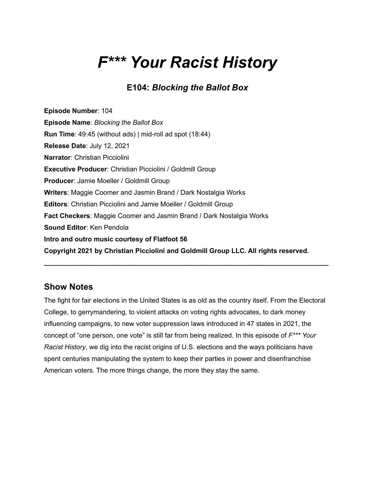# *F\*\*\* Your Racist History*

## **E104:** *Blocking the Ballot Box*

**Episode Number**: 104 **Episode Name**: *Blocking the Ballot Box* **Run Time**: 49:45 (without ads) | mid-roll ad spot (18:44) **Release Date**: July 12, 2021 **Narrator**: Christian Picciolini **Executive Producer**: Christian Picciolini / Goldmill Group **Producer**: Jamie Moeller / Goldmill Group **Writers**: Maggie Coomer and Jasmin Brand / Dark Nostalgia Works **Editors**: Christian Picciolini and Jamie Moeller / Goldmill Group **Fact Checkers**: Maggie Coomer and Jasmin Brand / Dark Nostalgia Works **Sound Editor**: Ken Pendola **Intro and outro music courtesy of Flatfoot 56 Copyright 2021 by Christian Picciolini and Goldmill Group LLC. All rights reserved.**

## **Show Notes**

The fight for fair elections in the United States is as old as the country itself. From the Electoral College, to gerrymandering, to violent attacks on voting rights advocates, to dark money influencing campaigns, to new voter suppression laws introduced in 47 states in 2021, the concept of "one person, one vote" is still far from being realized. In this episode of *F\*\*\* Your Racist History*, we dig into the racist origins of U.S. elections and the ways politicians have spent centuries manipulating the system to keep their parties in power and disenfranchise American voters. The more things change, the more they stay the same.

**\_\_\_\_\_\_\_\_\_\_\_\_\_\_\_\_\_\_\_\_\_\_\_\_\_\_\_\_\_\_\_\_\_\_\_\_\_\_\_\_\_\_\_\_\_\_\_\_\_\_\_\_\_\_\_\_\_\_\_\_\_\_\_\_\_\_\_\_\_\_\_\_\_\_\_\_**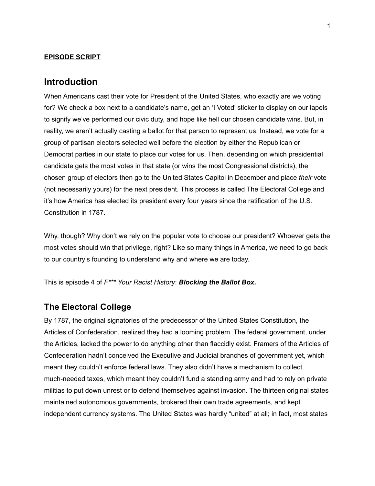#### **EPISODE SCRIPT**

#### **Introduction**

When Americans cast their vote for President of the United States, who exactly are we voting for? We check a box next to a candidate's name, get an 'I Voted' sticker to display on our lapels to signify we've performed our civic duty, and hope like hell our chosen candidate wins. But, in reality, we aren't actually casting a ballot for that person to represent us. Instead, we vote for a group of partisan electors selected well before the election by either the Republican or Democrat parties in our state to place our votes for us. Then, depending on which presidential candidate gets the most votes in that state (or wins the most Congressional districts), the chosen group of electors then go to the United States Capitol in December and place *their* vote (not necessarily yours) for the next president. This process is called The Electoral College and it's how America has elected its president every four years since the ratification of the U.S. Constitution in 1787.

Why, though? Why don't we rely on the popular vote to choose our president? Whoever gets the most votes should win that privilege, right? Like so many things in America, we need to go back to our country's founding to understand why and where we are today.

This is episode 4 of *F\*\*\* Your Racist History*: *Blocking the Ballot Box.*

#### **The Electoral College**

By 1787, the original signatories of the predecessor of the United States Constitution, the Articles of Confederation, realized they had a looming problem. The federal government, under the Articles, lacked the power to do anything other than flaccidly exist. Framers of the Articles of Confederation hadn't conceived the Executive and Judicial branches of government yet, which meant they couldn't enforce federal laws. They also didn't have a mechanism to collect much-needed taxes, which meant they couldn't fund a standing army and had to rely on private militias to put down unrest or to defend themselves against invasion. The thirteen original states maintained autonomous governments, brokered their own trade agreements, and kept independent currency systems. The United States was hardly "united" at all; in fact, most states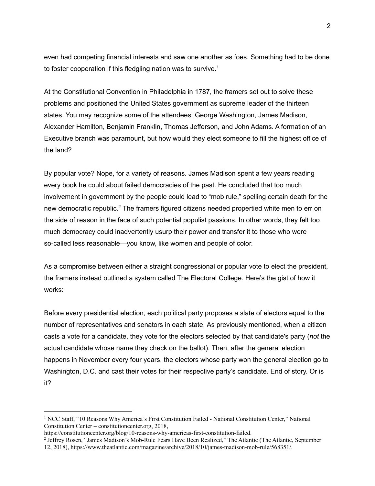even had competing financial interests and saw one another as foes. Something had to be done to foster cooperation if this fledgling nation was to survive.<sup>1</sup>

At the Constitutional Convention in Philadelphia in 1787, the framers set out to solve these problems and positioned the United States government as supreme leader of the thirteen states. You may recognize some of the attendees: George Washington, James Madison, Alexander Hamilton, Benjamin Franklin, Thomas Jefferson, and John Adams. A formation of an Executive branch was paramount, but how would they elect someone to fill the highest office of the land?

By popular vote? Nope, for a variety of reasons. James Madison spent a few years reading every book he could about failed democracies of the past. He concluded that too much involvement in government by the people could lead to "mob rule," spelling certain death for the new democratic republic.<sup>2</sup> The framers figured citizens needed propertied white men to err on the side of reason in the face of such potential populist passions. In other words, they felt too much democracy could inadvertently usurp their power and transfer it to those who were so-called less reasonable—you know, like women and people of color.

As a compromise between either a straight congressional or popular vote to elect the president, the framers instead outlined a system called The Electoral College. Here's the gist of how it works:

Before every presidential election, each political party proposes a slate of electors equal to the number of representatives and senators in each state. As previously mentioned, when a citizen casts a vote for a candidate, they vote for the electors selected by that candidate's party (*not* the actual candidate whose name they check on the ballot). Then, after the general election happens in November every four years, the electors whose party won the general election go to Washington, D.C. and cast their votes for their respective party's candidate. End of story. Or is it?

<sup>1</sup> NCC Staff, "10 Reasons Why America's First Constitution Failed - National Constitution Center," National Constitution Center – constitutioncenter.org, 2018,

[https://constitutioncenter.org/blog/10-reasons-why-americas-first-constitution-failed.](https://constitutioncenter.org/blog/10-reasons-why-americas-first-constitution-failed)

<sup>&</sup>lt;sup>2</sup> Jeffrey Rosen, "James Madison's Mob-Rule Fears Have Been Realized," The Atlantic (The Atlantic, September 12, 2018), [https://www.theatlantic.com/magazine/archive/2018/10/james-madison-mob-rule/568351/.](https://www.theatlantic.com/magazine/archive/2018/10/james-madison-mob-rule/568351/)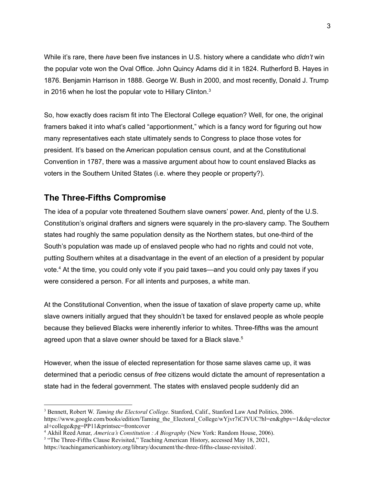While it's rare, there *have* been five instances in U.S. history where a candidate who *didn't* win the popular vote won the Oval Office. John Quincy Adams did it in 1824. Rutherford B. Hayes in 1876. Benjamin Harrison in 1888. George W. Bush in 2000, and most recently, Donald J. Trump in 2016 when he lost the popular vote to Hillary Clinton. $3$ 

So, how exactly does racism fit into The Electoral College equation? Well, for one, the original framers baked it into what's called "apportionment," which is a fancy word for figuring out how many representatives each state ultimately sends to Congress to place those votes for president. It's based on the American population census count, and at the Constitutional Convention in 1787, there was a massive argument about how to count enslaved Blacks as voters in the Southern United States (i.e. where they people or property?).

## **The Three-Fifths Compromise**

The idea of a popular vote threatened Southern slave owners' power. And, plenty of the U.S. Constitution's original drafters and signers were squarely in the pro-slavery camp. The Southern states had roughly the same population density as the Northern states, but one-third of the South's population was made up of enslaved people who had no rights and could not vote, putting Southern whites at a disadvantage in the event of an election of a president by popular vote. <sup>4</sup> At the time, you could only vote if you paid taxes—and you could only pay taxes if you were considered a person. For all intents and purposes, a white man.

At the Constitutional Convention, when the issue of taxation of slave property came up, white slave owners initially argued that they shouldn't be taxed for enslaved people as whole people because they believed Blacks were inherently inferior to whites. Three-fifths was the amount agreed upon that a slave owner should be taxed for a Black slave.<sup>5</sup>

However, when the issue of elected representation for those same slaves came up, it was determined that a periodic census of *free* citizens would dictate the amount of representation a state had in the federal government. The states with enslaved people suddenly did an

<sup>3</sup> Bennett, Robert W. *Taming the Electoral College*. Stanford, Calif., Stanford Law And Politics, 2006. [https://www.google.com/books/edition/Taming\\_the\\_Electoral\\_College/wYjvr7iCJVUC?hl=en&gbpv=1&dq=elector](https://www.google.com/books/edition/Taming_the_Electoral_College/wYjvr7iCJVUC?hl=en&gbpv=1&dq=electoral+college&pg=PP11&printsec=frontcover) [al+college&pg=PP11&printsec=frontcover](https://www.google.com/books/edition/Taming_the_Electoral_College/wYjvr7iCJVUC?hl=en&gbpv=1&dq=electoral+college&pg=PP11&printsec=frontcover)

<sup>4</sup> Akhil Reed Amar, *America's Constitution : A Biography* (New York: Random House, 2006).

<sup>&</sup>lt;sup>5</sup> "The Three-Fifths Clause Revisited," Teaching American History, accessed May 18, 2021,

<https://teachingamericanhistory.org/library/document/the-three-fifths-clause-revisited/>.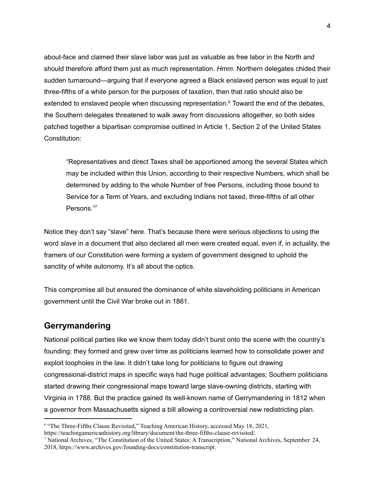about-face and claimed their slave labor was just as valuable as free labor in the North and should therefore afford them just as much representation. *Hmm*. Northern delegates chided their sudden turnaround—arguing that if everyone agreed a Black enslaved person was equal to just three-fifths of a white person for the purposes of taxation, then that ratio should also be extended to enslaved people when discussing representation.<sup>6</sup> Toward the end of the debates, the Southern delegates threatened to walk away from discussions altogether, so both sides patched together a bipartisan compromise outlined in Article 1, Section 2 of the United States Constitution:

"Representatives and direct Taxes shall be apportioned among the several States which may be included within this Union, according to their respective Numbers, which shall be determined by adding to the whole Number of free Persons, including those bound to Service for a Term of Years, and excluding Indians not taxed, three-fifths of all other Persons." 7

Notice they don't say "slave" here. That's because there were serious objections to using the word *slave* in a document that also declared all men were created equal, even if, in actuality, the framers of our Constitution were forming a system of government designed to uphold the sanctity of white autonomy. It's all about the optics.

This compromise all but ensured the dominance of white slaveholding politicians in American government until the Civil War broke out in 1861.

## **Gerrymandering**

National political parties like we know them today didn't burst onto the scene with the country's founding; they formed and grew over time as politicians learned how to consolidate power and exploit loopholes in the law. It didn't take long for politicians to figure out drawing congressional-district maps in specific ways had huge political advantages; Southern politicians started drawing their congressional maps toward large slave-owning districts, starting with Virginia in 1788. But the practice gained its well-known name of Gerrymandering in 1812 when a governor from Massachusetts signed a bill allowing a controversial new redistricting plan.

<sup>6</sup> "The Three-Fifths Clause Revisited," Teaching American History, accessed May 18, 2021, <https://teachingamericanhistory.org/library/document/the-three-fifths-clause-revisited/>.

<sup>7</sup> National Archives, "The Constitution of the United States: A Transcription," National Archives, September 24, 2018, [https://www.archives.gov/founding-docs/constitution-transcript.](https://www.archives.gov/founding-docs/constitution-transcript)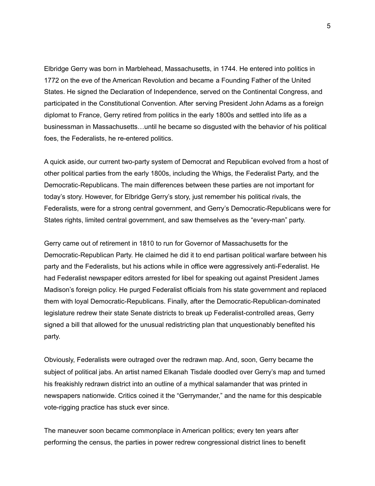Elbridge Gerry was born in Marblehead, Massachusetts, in 1744. He entered into politics in 1772 on the eve of the American Revolution and became a Founding Father of the United States. He signed the Declaration of Independence, served on the Continental Congress, and participated in the Constitutional Convention. After serving President John Adams as a foreign diplomat to France, Gerry retired from politics in the early 1800s and settled into life as a businessman in Massachusetts…until he became so disgusted with the behavior of his political foes, the Federalists, he re-entered politics.

A quick aside, our current two-party system of Democrat and Republican evolved from a host of other political parties from the early 1800s, including the Whigs, the Federalist Party, and the Democratic-Republicans. The main differences between these parties are not important for today's story. However, for Elbridge Gerry's story, just remember his political rivals, the Federalists, were for a strong central government, and Gerry's Democratic-Republicans were for States rights, limited central government, and saw themselves as the "every-man" party.

Gerry came out of retirement in 1810 to run for Governor of Massachusetts for the Democratic-Republican Party. He claimed he did it to end partisan political warfare between his party and the Federalists, but his actions while in office were aggressively anti-Federalist. He had Federalist newspaper editors arrested for libel for speaking out against President James Madison's foreign policy. He purged Federalist officials from his state government and replaced them with loyal Democratic-Republicans. Finally, after the Democratic-Republican-dominated legislature redrew their state Senate districts to break up Federalist-controlled areas, Gerry signed a bill that allowed for the unusual redistricting plan that unquestionably benefited his party.

Obviously, Federalists were outraged over the redrawn map. And, soon, Gerry became the subject of political jabs. An artist named Elkanah Tisdale doodled over Gerry's map and turned his freakishly redrawn district into an outline of a mythical salamander that was printed in newspapers nationwide. Critics coined it the "Gerrymander," and the name for this despicable vote-rigging practice has stuck ever since.

The maneuver soon became commonplace in American politics; every ten years after performing the census, the parties in power redrew congressional district lines to benefit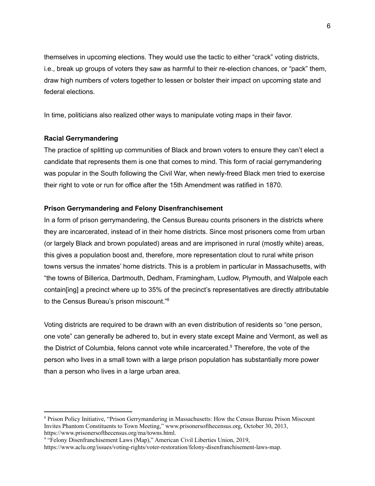themselves in upcoming elections. They would use the tactic to either "crack" voting districts, i.e., break up groups of voters they saw as harmful to their re-election chances, or "pack" them, draw high numbers of voters together to lessen or bolster their impact on upcoming state and federal elections.

In time, politicians also realized other ways to manipulate voting maps in their favor.

#### **Racial Gerrymandering**

The practice of splitting up communities of Black and brown voters to ensure they can't elect a candidate that represents them is one that comes to mind. This form of racial gerrymandering was popular in the South following the Civil War, when newly-freed Black men tried to exercise their right to vote or run for office after the 15th Amendment was ratified in 1870.

#### **Prison Gerrymandering and Felony Disenfranchisement**

In a form of prison gerrymandering, the Census Bureau counts prisoners in the districts where they are incarcerated, instead of in their home districts. Since most prisoners come from urban (or largely Black and brown populated) areas and are imprisoned in rural (mostly white) areas, this gives a population boost and, therefore, more representation clout to rural white prison towns versus the inmates' home districts. This is a problem in particular in Massachusetts, with "the towns of Billerica, Dartmouth, Dedham, Framingham, Ludlow, Plymouth, and Walpole each contain[ing] a precinct where up to 35% of the precinct's representatives are directly attributable to the Census Bureau's prison miscount." 8

Voting districts are required to be drawn with an even distribution of residents so "one person, one vote" can generally be adhered to, but in every state except Maine and Vermont, as well as the District of Columbia, felons cannot vote while incarcerated. <sup>9</sup> Therefore, the vote of the person who lives in a small town with a large prison population has substantially more power than a person who lives in a large urban area.

<sup>8</sup> Prison Policy Initiative, "Prison Gerrymandering in Massachusetts: How the Census Bureau Prison Miscount Invites Phantom Constituents to Town Meeting," www.prisonersofthecensus.org, October 30, 2013, <https://www.prisonersofthecensus.org/ma/towns.html>.

<sup>&</sup>lt;sup>9</sup> "Felony Disenfranchisement Laws (Map)," American Civil Liberties Union, 2019,

<https://www.aclu.org/issues/voting-rights/voter-restoration/felony-disenfranchisement-laws-map>.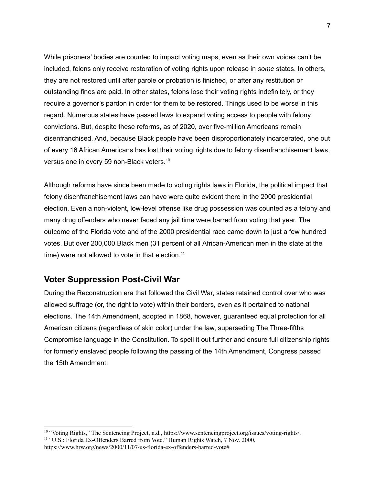While prisoners' bodies are counted to impact voting maps, even as their own voices can't be included, felons only receive restoration of voting rights upon release in *some* states. In others, they are not restored until after parole or probation is finished, or after any restitution or outstanding fines are paid. In other states, felons lose their voting rights indefinitely, or they require a governor's pardon in order for them to be restored. Things used to be worse in this regard. Numerous states have passed laws to expand voting access to people with felony convictions. But, despite these reforms, as of 2020, over five-million Americans remain disenfranchised. And, because Black people have been disproportionately incarcerated, one out of every 16 African Americans has lost their voting rights due to felony disenfranchisement laws, versus one in every 59 non-Black voters.<sup>10</sup>

Although reforms have since been made to voting rights laws in Florida, the political impact that felony disenfranchisement laws can have were quite evident there in the 2000 presidential election. Even a non-violent, low-level offense like drug possession was counted as a felony and many drug offenders who never faced any jail time were barred from voting that year. The outcome of the Florida vote and of the 2000 presidential race came down to just a few hundred votes. But over 200,000 Black men (31 percent of all African-American men in the state at the time) were not allowed to vote in that election.<sup>11</sup>

#### **Voter Suppression Post-Civil War**

During the Reconstruction era that followed the Civil War, states retained control over who was allowed suffrage (or, the right to vote) within their borders, even as it pertained to national elections. The 14th Amendment, adopted in 1868, however, guaranteed equal protection for all American citizens (regardless of skin color) under the law, superseding The Three-fifths Compromise language in the Constitution. To spell it out further and ensure full citizenship rights for formerly enslaved people following the passing of the 14th Amendment, Congress passed the 15th Amendment:

<sup>&</sup>lt;sup>11</sup> "U.S.: Florida Ex-Offenders Barred from Vote." Human Rights Watch, 7 Nov. 2000, https://www.hrw.org/news/2000/11/07/us-florida-ex-offenders-barred-vote# <sup>10</sup> "Voting Rights," The Sentencing Project, n.d., [https://www.sentencingproject.org/issues/voting-rights/.](https://www.sentencingproject.org/issues/voting-rights/)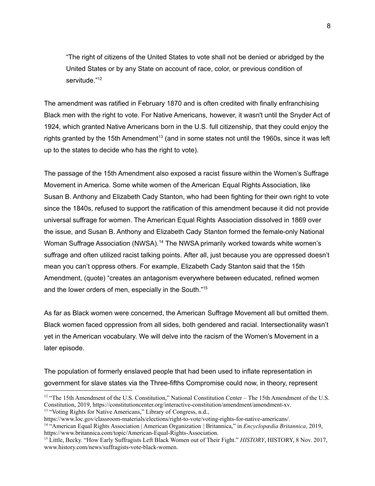"The right of citizens of the United States to vote shall not be denied or abridged by the United States or by any State on account of race, color, or previous condition of servitude."<sup>12</sup>

The amendment was ratified in February 1870 and is often credited with finally enfranchising Black men with the right to vote. For Native Americans, however, it wasn't until the Snyder Act of 1924, which granted Native Americans born in the U.S. full citizenship, that they could enjoy the rights granted by the 15th Amendment<sup>13</sup> (and in some states not until the 1960s, since it was left up to the states to decide who has the right to vote).

The passage of the 15th Amendment also exposed a racist fissure within the Women's Suffrage Movement in America. Some white women of the American Equal Rights Association, like Susan B. Anthony and Elizabeth Cady Stanton, who had been fighting for their own right to vote since the 1840s, refused to support the ratification of this amendment because it did not provide universal suffrage for women. The American Equal Rights Association dissolved in 1869 over the issue, and Susan B. Anthony and Elizabeth Cady Stanton formed the female-only National Woman Suffrage Association (NWSA).<sup>14</sup> The NWSA primarily worked towards white women's suffrage and often utilized racist talking points. After all, just because you are oppressed doesn't mean you can't oppress others. For example, Elizabeth Cady Stanton said that the 15th Amendment, (quote) "creates an antagonism everywhere between educated, refined women and the lower orders of men, especially in the South."<sup>15</sup>

As far as Black women were concerned, the American Suffrage Movement all but omitted them. Black women faced oppression from all sides, both gendered and racial. Intersectionality wasn't yet in the American vocabulary. We will delve into the racism of the Women's Movement in a later episode.

The population of formerly enslaved people that had been used to inflate representation in government for slave states via the Three-fifths Compromise could now, in theory, represent

<sup>&</sup>lt;sup>13</sup> "Voting Rights for Native Americans," Library of Congress, n.d., <sup>12</sup> "The 15th Amendment of the U.S. Constitution," National Constitution Center – The 15th Amendment of the U.S. Constitution, 2019, [https://constitutioncenter.org/interactive-constitution/amendment/amendment-xv.](https://constitutioncenter.org/interactive-constitution/amendment/amendment-xv)

https://www.loc.gov/classroom-materials/elections/right-to-vote/voting-rights-for-native-americans/.

<sup>14</sup> "American Equal Rights Association | American Organization | Britannica," in *Encyclopædia Britannica*, 2019, [https://www.britannica.com/topic/American-Equal-Rights-Association.](https://www.britannica.com/topic/American-Equal-Rights-Association)

<sup>15</sup> Little, Becky. "How Early Suffragists Left Black Women out of Their Fight." *HISTORY*, HISTORY, 8 Nov. 2017, [www.history.com/news/suffragists-vote-black-women](http://www.history.com/news/suffragists-vote-black-women).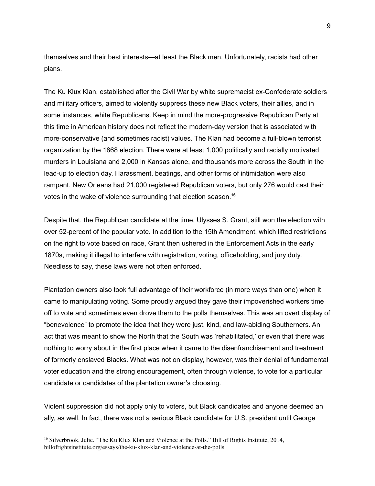themselves and their best interests—at least the Black men. Unfortunately, racists had other plans.

The Ku Klux Klan, established after the Civil War by white supremacist ex-Confederate soldiers and military officers, aimed to violently suppress these new Black voters, their allies, and in some instances, white Republicans. Keep in mind the more-progressive Republican Party at this time in American history does not reflect the modern-day version that is associated with more-conservative (and sometimes racist) values. The Klan had become a full-blown terrorist organization by the 1868 election. There were at least 1,000 politically and racially motivated murders in Louisiana and 2,000 in Kansas alone, and thousands more across the South in the lead-up to election day. Harassment, beatings, and other forms of intimidation were also rampant. New Orleans had 21,000 registered Republican voters, but only 276 would cast their votes in the wake of violence surrounding that election season. 16

Despite that, the Republican candidate at the time, Ulysses S. Grant, still won the election with over 52-percent of the popular vote. In addition to the 15th Amendment, which lifted restrictions on the right to vote based on race, Grant then ushered in the Enforcement Acts in the early 1870s, making it illegal to interfere with registration, voting, officeholding, and jury duty. Needless to say, these laws were not often enforced.

Plantation owners also took full advantage of their workforce (in more ways than one) when it came to manipulating voting. Some proudly argued they gave their impoverished workers time off to vote and sometimes even drove them to the polls themselves. This was an overt display of "benevolence" to promote the idea that they were just, kind, and law-abiding Southerners. An act that was meant to show the North that the South was 'rehabilitated,' or even that there was nothing to worry about in the first place when it came to the disenfranchisement and treatment of formerly enslaved Blacks. What was not on display, however, was their denial of fundamental voter education and the strong encouragement, often through violence, to vote for a particular candidate or candidates of the plantation owner's choosing.

Violent suppression did not apply only to voters, but Black candidates and anyone deemed an ally, as well. In fact, there was not a serious Black candidate for U.S. president until George

<sup>&</sup>lt;sup>16</sup> Silverbrook, Julie. "The Ku Klux Klan and Violence at the Polls." Bill of Rights Institute, 2014, billofrightsinstitute.org/essays/the-ku-klux-klan-and-violence-at-the-polls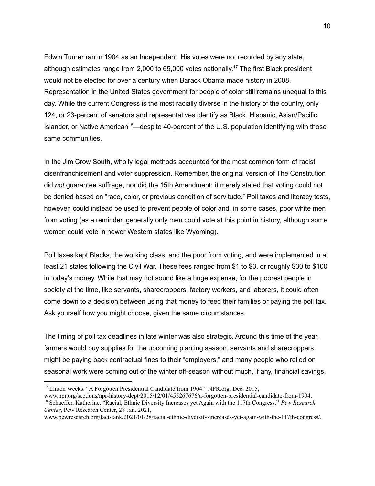Edwin Turner ran in 1904 as an Independent. His votes were not recorded by any state, although estimates range from 2,000 to 65,000 votes nationally.<sup>17</sup> The first Black president would not be elected for over a century when Barack Obama made history in 2008. Representation in the United States government for people of color still remains unequal to this day. While the current Congress is the most racially diverse in the history of the country, only 124, or 23-percent of senators and representatives identify as Black, Hispanic, Asian/Pacific Islander, or Native American<sup>18</sup>—despite 40-percent of the U.S. population identifying with those same communities.

In the Jim Crow South, wholly legal methods accounted for the most common form of racist disenfranchisement and voter suppression. Remember, the original version of The Constitution did *not* guarantee suffrage, nor did the 15th Amendment; it merely stated that voting could not be denied based on "race, color, or previous condition of servitude." Poll taxes and literacy tests, however, could instead be used to prevent people of color and, in some cases, poor white men from voting (as a reminder, generally only men could vote at this point in history, although some women could vote in newer Western states like Wyoming).

Poll taxes kept Blacks, the working class, and the poor from voting, and were implemented in at least 21 states following the Civil War. These fees ranged from \$1 to \$3, or roughly \$30 to \$100 in today's money. While that may not sound like a huge expense, for the poorest people in society at the time, like servants, sharecroppers, factory workers, and laborers, it could often come down to a decision between using that money to feed their families or paying the poll tax. Ask yourself how you might choose, given the same circumstances.

The timing of poll tax deadlines in late winter was also strategic. Around this time of the year, farmers would buy supplies for the upcoming planting season, servants and sharecroppers might be paying back contractual fines to their "employers," and many people who relied on seasonal work were coming out of the winter off-season without much, if any, financial savings.

<sup>&</sup>lt;sup>17</sup> Linton Weeks. "A Forgotten Presidential Candidate from 1904." NPR.org, Dec. 2015,

<sup>18</sup> Schaeffer, Katherine. "Racial, Ethnic Diversity Increases yet Again with the 117th Congress." *Pew Research Center*, Pew Research Center, 28 Jan. 2021, www.npr.org/sections/npr-history-dept/2015/12/01/455267676/a-forgotten-presidential-candidate-from-1904.

www.pewresearch.org/fact-tank/2021/01/28/racial-ethnic-diversity-increases-yet-again-with-the-117th-congress/.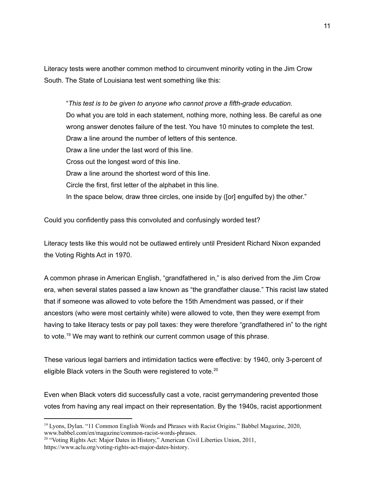Literacy tests were another common method to circumvent minority voting in the Jim Crow South. The State of Louisiana test went something like this:

"*This test is to be given to anyone who cannot prove a fifth-grade education.* Do what you are told in each statement, nothing more, nothing less. Be careful as one wrong answer denotes failure of the test. You have 10 minutes to complete the test. Draw a line around the number of letters of this sentence. Draw a line under the last word of this line. Cross out the longest word of this line. Draw a line around the shortest word of this line. Circle the first, first letter of the alphabet in this line. In the space below, draw three circles, one inside by ([or] engulfed by) the other."

Could you confidently pass this convoluted and confusingly worded test?

Literacy tests like this would not be outlawed entirely until President Richard Nixon expanded the Voting Rights Act in 1970.

A common phrase in American English, "grandfathered in," is also derived from the Jim Crow era, when several states passed a law known as "the grandfather clause." This racist law stated that if someone was allowed to vote before the 15th Amendment was passed, or if their ancestors (who were most certainly white) were allowed to vote, then they were exempt from having to take literacy tests or pay poll taxes: they were therefore "grandfathered in" to the right to vote. <sup>19</sup> We may want to rethink our current common usage of this phrase.

These various legal barriers and intimidation tactics were effective: by 1940, only 3-percent of eligible Black voters in the South were registered to vote.<sup>20</sup>

Even when Black voters did successfully cast a vote, racist gerrymandering prevented those votes from having any real impact on their representation. By the 1940s, racist apportionment

<sup>&</sup>lt;sup>19</sup> Lyons, Dylan. "11 Common English Words and Phrases with Racist Origins." Babbel Magazine, 2020, www.babbel.com/en/magazine/common-racist-words-phrases.

<sup>&</sup>lt;sup>20</sup> "Voting Rights Act: Major Dates in History," American Civil Liberties Union, 2011, <https://www.aclu.org/voting-rights-act-major-dates-history>.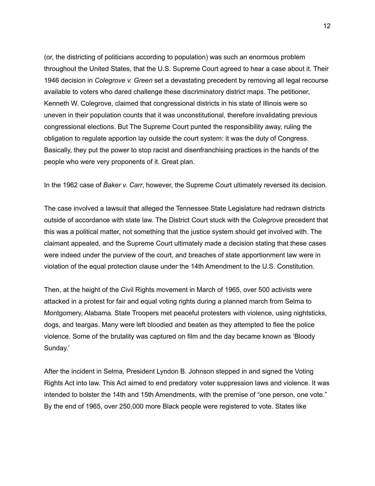(or, the districting of politicians according to population) was such an enormous problem throughout the United States, that the U.S. Supreme Court agreed to hear a case about it. Their 1946 decision in *Colegrove v. Green* set a devastating precedent by removing all legal recourse available to voters who dared challenge these discriminatory district maps. The petitioner, Kenneth W. Colegrove, claimed that congressional districts in his state of Illinois were so uneven in their population counts that it was unconstitutional, therefore invalidating previous congressional elections. But The Supreme Court punted the responsibility away, ruling the obligation to regulate apportion lay outside the court system: it was the duty of Congress. Basically, they put the power to stop racist and disenfranchising practices in the hands of the people who were very proponents of it. Great plan.

In the 1962 case of *Baker v. Carr*, however, the Supreme Court ultimately reversed its decision.

The case involved a lawsuit that alleged the Tennessee State Legislature had redrawn districts outside of accordance with state law. The District Court stuck with the *Colegrove* precedent that this was a political matter, not something that the justice system should get involved with. The claimant appealed, and the Supreme Court ultimately made a decision stating that these cases were indeed under the purview of the court, and breaches of state apportionment law were in violation of the equal protection clause under the 14th Amendment to the U.S. Constitution.

Then, at the height of the Civil Rights movement in March of 1965, over 500 activists were attacked in a protest for fair and equal voting rights during a planned march from Selma to Montgomery, Alabama. State Troopers met peaceful protesters with violence, using nightsticks, dogs, and teargas. Many were left bloodied and beaten as they attempted to flee the police violence. Some of the brutality was captured on film and the day became known as 'Bloody Sunday.'

After the incident in Selma, President Lyndon B. Johnson stepped in and signed the Voting Rights Act into law. This Act aimed to end predatory voter suppression laws and violence. It was intended to bolster the 14th and 15th Amendments, with the premise of "one person, one vote." By the end of 1965, over 250,000 more Black people were registered to vote. States like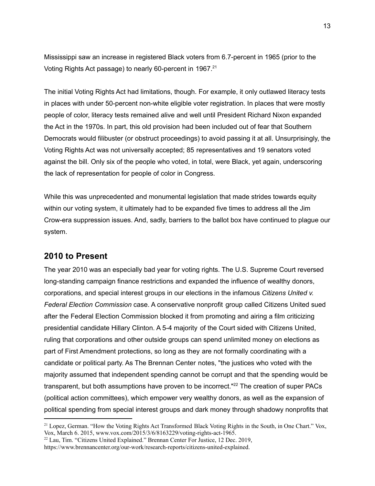Mississippi saw an increase in registered Black voters from 6.7-percent in 1965 (prior to the Voting Rights Act passage) to nearly 60-percent in 1967.<sup>21</sup>

The initial Voting Rights Act had limitations, though. For example, it only outlawed literacy tests in places with under 50-percent non-white eligible voter registration. In places that were mostly people of color, literacy tests remained alive and well until President Richard Nixon expanded the Act in the 1970s. In part, this old provision had been included out of fear that Southern Democrats would filibuster (or obstruct proceedings) to avoid passing it at all. Unsurprisingly, the Voting Rights Act was not universally accepted; 85 representatives and 19 senators voted against the bill. Only six of the people who voted, in total, were Black, yet again, underscoring the lack of representation for people of color in Congress.

While this was unprecedented and monumental legislation that made strides towards equity within our voting system, it ultimately had to be expanded five times to address all the Jim Crow-era suppression issues. And, sadly, barriers to the ballot box have continued to plague our system.

#### **2010 to Present**

The year 2010 was an especially bad year for voting rights. The U.S. Supreme Court reversed long-standing campaign finance restrictions and expanded the influence of wealthy donors, corporations, and special interest groups in our elections in the infamous *Citizens United v. Federal Election Commission* case. A conservative nonprofit group called Citizens United sued after the Federal Election Commission blocked it from promoting and airing a film criticizing presidential candidate Hillary Clinton. A 5-4 majority of the Court sided with Citizens United, ruling that corporations and other outside groups can spend unlimited money on elections as part of First Amendment protections, so long as they are not formally coordinating with a candidate or political party. As The Brennan Center notes, "the justices who voted with the majority assumed that independent spending cannot be corrupt and that the spending would be transparent, but both assumptions have proven to be incorrect."<sup>22</sup> The creation of super PACs (political action committees), which empower very wealthy donors, as well as the expansion of political spending from special interest groups and dark money through shadowy nonprofits that

<sup>&</sup>lt;sup>21</sup> Lopez, German. "How the Voting Rights Act Transformed Black Voting Rights in the South, in One Chart." Vox, Vox, March 6. 2015, www.vox.com/2015/3/6/8163229/voting-rights-act-1965.

 $22$  Lau, Tim. "Citizens United Explained." Brennan Center For Justice, 12 Dec. 2019,

https://www.brennancenter.org/our-work/research-reports/citizens-united-explained.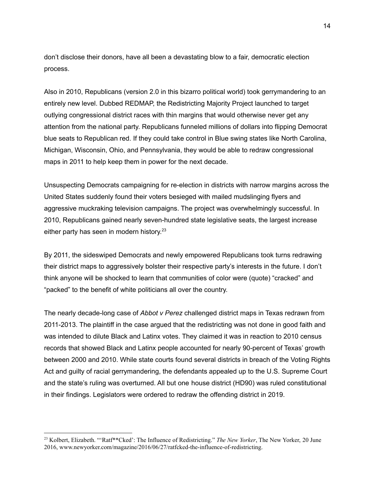don't disclose their donors, have all been a devastating blow to a fair, democratic election process.

Also in 2010, Republicans (version 2.0 in this bizarro political world) took gerrymandering to an entirely new level. Dubbed REDMAP, the Redistricting Majority Project launched to target outlying congressional district races with thin margins that would otherwise never get any attention from the national party. Republicans funneled millions of dollars into flipping Democrat blue seats to Republican red. If they could take control in Blue swing states like North Carolina, Michigan, Wisconsin, Ohio, and Pennsylvania, they would be able to redraw congressional maps in 2011 to help keep them in power for the next decade.

Unsuspecting Democrats campaigning for re-election in districts with narrow margins across the United States suddenly found their voters besieged with mailed mudslinging flyers and aggressive muckraking television campaigns. The project was overwhelmingly successful. In 2010, Republicans gained nearly seven-hundred state legislative seats, the largest increase either party has seen in modern history.<sup>23</sup>

By 2011, the sideswiped Democrats and newly empowered Republicans took turns redrawing their district maps to aggressively bolster their respective party's interests in the future. I don't think anyone will be shocked to learn that communities of color were (quote) "cracked" and "packed" to the benefit of white politicians all over the country.

The nearly decade-long case of *Abbot v Perez* challenged district maps in Texas redrawn from 2011-2013. The plaintiff in the case argued that the redistricting was not done in good faith and was intended to dilute Black and Latinx votes. They claimed it was in reaction to 2010 census records that showed Black and Latinx people accounted for nearly 90-percent of Texas' growth between 2000 and 2010. While state courts found several districts in breach of the Voting Rights Act and guilty of racial gerrymandering, the defendants appealed up to the U.S. Supreme Court and the state's ruling was overturned. All but one house district (HD90) was ruled constitutional in their findings. Legislators were ordered to redraw the offending district in 2019.

<sup>23</sup> Kolbert, Elizabeth. "'Ratf\*\*Cked': The Influence of Redistricting." *The New Yorker*, The New Yorker, 20 June 2016, www.newyorker.com/magazine/2016/06/27/ratfcked-the-influence-of-redistricting.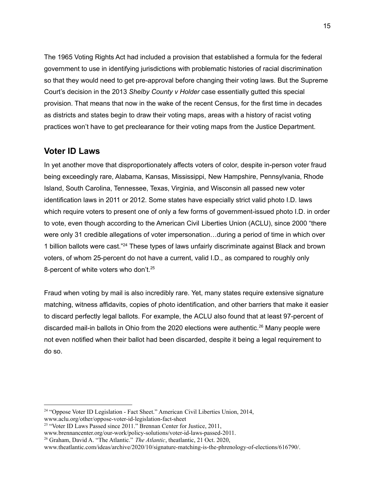The 1965 Voting Rights Act had included a provision that established a formula for the federal government to use in identifying jurisdictions with problematic histories of racial discrimination so that they would need to get pre-approval before changing their voting laws. But the Supreme Court's decision in the 2013 *Shelby County v Holder* case essentially gutted this special provision. That means that now in the wake of the recent Census, for the first time in decades as districts and states begin to draw their voting maps, areas with a history of racist voting practices won't have to get preclearance for their voting maps from the Justice Department.

## **Voter ID Laws**

In yet another move that disproportionately affects voters of color, despite in-person voter fraud being exceedingly rare, Alabama, Kansas, Mississippi, New Hampshire, Pennsylvania, Rhode Island, South Carolina, Tennessee, Texas, Virginia, and Wisconsin all passed new voter identification laws in 2011 or 2012. Some states have especially strict valid photo I.D. laws which require voters to present one of only a few forms of government-issued photo I.D. in order to vote, even though according to the American Civil Liberties Union (ACLU), since 2000 "there were only 31 credible allegations of voter impersonation…during a period of time in which over 1 billion ballots were cast."<sup>24</sup> These types of laws unfairly discriminate against Black and brown voters, of whom 25-percent do not have a current, valid I.D., as compared to roughly only 8-percent of white voters who don't.<sup>25</sup>

Fraud when voting by mail is also incredibly rare. Yet, many states require extensive signature matching, witness affidavits, copies of photo identification, and other barriers that make it easier to discard perfectly legal ballots. For example, the ACLU also found that at least 97-percent of discarded mail-in ballots in Ohio from the 2020 elections were authentic. <sup>26</sup> Many people were not even notified when their ballot had been discarded, despite it being a legal requirement to do so.

<sup>&</sup>lt;sup>24</sup> "Oppose Voter ID Legislation - Fact Sheet." American Civil Liberties Union, 2014, www.aclu.org/other/oppose-voter-id-legislation-fact-sheet

<sup>&</sup>lt;sup>25</sup> "Voter ID Laws Passed since 2011." Brennan Center for Justice, 2011,

www.brennancenter.org/our-work/policy-solutions/voter-id-laws-passed-2011.

<sup>26</sup> Graham, David A. "The Atlantic." *The Atlantic*, theatlantic, 21 Oct. 2020,

www.theatlantic.com/ideas/archive/2020/10/signature-matching-is-the-phrenology-of-elections/616790/.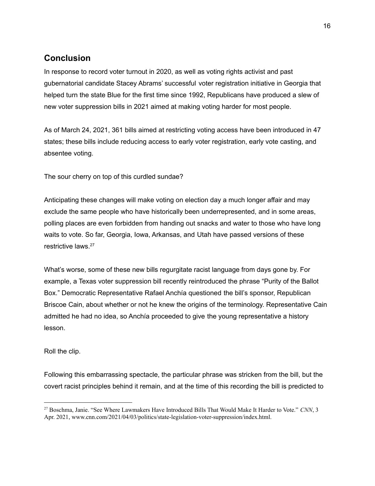## **Conclusion**

In response to record voter turnout in 2020, as well as voting rights activist and past gubernatorial candidate Stacey Abrams' successful voter registration initiative in Georgia that helped turn the state Blue for the first time since 1992, Republicans have produced a slew of new voter suppression bills in 2021 aimed at making voting harder for most people.

As of March 24, 2021, 361 bills aimed at restricting voting access have been introduced in 47 states; these bills include reducing access to early voter registration, early vote casting, and absentee voting.

The sour cherry on top of this curdled sundae?

Anticipating these changes will make voting on election day a much longer affair and may exclude the same people who have historically been underrepresented, and in some areas, polling places are even forbidden from handing out snacks and water to those who have long waits to vote. So far, Georgia, Iowa, Arkansas, and Utah have passed versions of these restrictive laws. 27

What's worse, some of these new bills regurgitate racist language from days gone by. For example, a Texas voter suppression bill recently reintroduced the phrase "Purity of the Ballot Box." Democratic Representative Rafael Anchía questioned the bill's sponsor, Republican Briscoe Cain, about whether or not he knew the origins of the terminology. Representative Cain admitted he had no idea, so Anchía proceeded to give the young representative a history lesson.

#### Roll the clip.

Following this embarrassing spectacle, the particular phrase was stricken from the bill, but the covert racist principles behind it remain, and at the time of this recording the bill is predicted to

<sup>27</sup> Boschma, Janie. "See Where Lawmakers Have Introduced Bills That Would Make It Harder to Vote." *CNN*, 3 Apr. 2021, www.cnn.com/2021/04/03/politics/state-legislation-voter-suppression/index.html.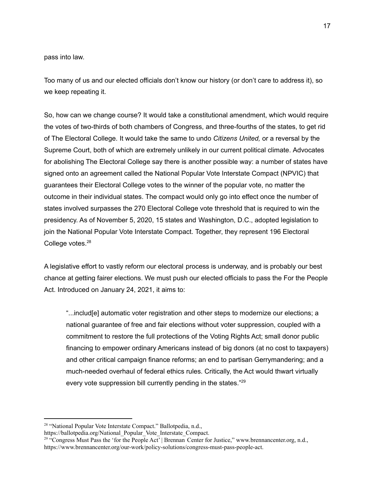pass into law.

Too many of us and our elected officials don't know our history (or don't care to address it), so we keep repeating it.

So, how can we change course? It would take a constitutional amendment, which would require the votes of two-thirds of both chambers of Congress, and three-fourths of the states, to get rid of The Electoral College. It would take the same to undo *Citizens United,* or a reversal by the Supreme Court, both of which are extremely unlikely in our current political climate. Advocates for abolishing The Electoral College say there is another possible way: a number of states have signed onto an agreement called the National Popular Vote Interstate Compact (NPVIC) that guarantees their Electoral College votes to the winner of the popular vote, no matter the outcome in their individual states. The compact would only go into effect once the number of states involved surpasses the 270 Electoral College vote threshold that is required to win the presidency. As of November 5, 2020, 15 states and Washington, D.C., adopted legislation to join the National Popular Vote Interstate Compact. Together, they represent 196 Electoral College votes. 28

A legislative effort to vastly reform our electoral process is underway, and is probably our best chance at getting fairer elections. We must push our elected officials to pass the For the People Act. Introduced on January 24, 2021, it aims to:

"...includ[e] automatic voter registration and other steps to modernize our elections; a national guarantee of free and fair elections without voter suppression, coupled with a commitment to restore the full protections of the Voting Rights Act; small donor public financing to empower ordinary Americans instead of big donors (at no cost to taxpayers) and other critical campaign finance reforms; an end to partisan Gerrymandering; and a much-needed overhaul of federal ethics rules. Critically, the Act would thwart virtually every vote suppression bill currently pending in the states."<sup>29</sup>

<sup>28</sup> "National Popular Vote Interstate Compact." Ballotpedia, n.d.,

https://ballotpedia.org/National\_Popular\_Vote\_Interstate\_Compact.

<sup>&</sup>lt;sup>29 "</sup>Congress Must Pass the 'for the People Act' | Brennan Center for Justice," www.brennancenter.org, n.d., [https://www.brennancenter.org/our-work/policy-solutions/congress-must-pass-people-act.](https://www.brennancenter.org/our-work/policy-solutions/congress-must-pass-people-act)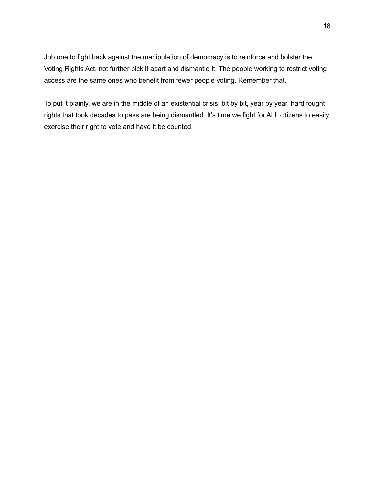Job one to fight back against the manipulation of democracy is to reinforce and bolster the Voting Rights Act, not further pick it apart and dismantle it. The people working to restrict voting access are the same ones who benefit from fewer people voting. Remember that.

To put it plainly, we are in the middle of an existential crisis; bit by bit, year by year, hard fought rights that took decades to pass are being dismantled. It's time we fight for ALL citizens to easily exercise their right to vote and have it be counted.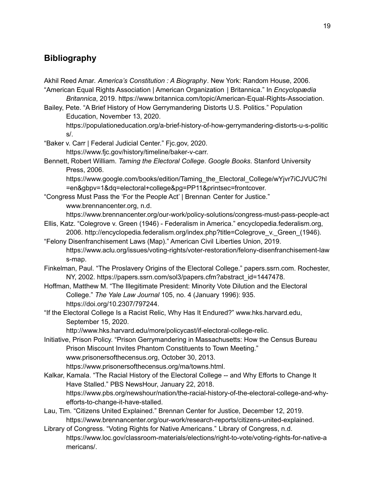# **Bibliography**

Akhil Reed Amar. *America's Constitution : A Biography*. New York: Random House, 2006. "American Equal Rights Association | American Organization | Britannica." In *Encyclopædia*

*Britannica*, 2019. https://www.britannica.com/topic/American-Equal-Rights-Association. Bailey, Pete. "A Brief History of How Gerrymandering Distorts U.S. Politics." Population

Education, November 13, 2020.

https://populationeducation.org/a-brief-history-of-how-gerrymandering-distorts-u-s-politic s/.

"Baker v. Carr | Federal Judicial Center." Fjc.gov, 2020. https://www.fjc.gov/history/timeline/baker-v-carr.

Bennett, Robert William. *Taming the Electoral College*. *Google Books*. Stanford University Press, 2006.

https://www.google.com/books/edition/Taming\_the\_Electoral\_College/wYjvr7iCJVUC?hl =en&gbpv=1&dq=electoral+college&pg=PP11&printsec=frontcover.

"Congress Must Pass the 'For the People Act' | Brennan Center for Justice." www.brennancenter.org, n.d.

https://www.brennancenter.org/our-work/policy-solutions/congress-must-pass-people-act

- Ellis, Katz. "Colegrove v. Green (1946) Federalism in America." encyclopedia.federalism.org, 2006. http://encyclopedia.federalism.org/index.php?title=Colegrove\_v.\_Green\_(1946).
- "Felony Disenfranchisement Laws (Map)." American Civil Liberties Union, 2019. https://www.aclu.org/issues/voting-rights/voter-restoration/felony-disenfranchisement-law s-map.
- Finkelman, Paul. "The Proslavery Origins of the Electoral College." papers.ssrn.com. Rochester, NY, 2002. https://papers.ssrn.com/sol3/papers.cfm?abstract\_id=1447478.
- Hoffman, Matthew M. "The Illegitimate President: Minority Vote Dilution and the Electoral College." *The Yale Law Journal* 105, no. 4 (January 1996): 935. https://doi.org/10.2307/797244.
- "If the Electoral College Is a Racist Relic, Why Has It Endured?" www.hks.harvard.edu, September 15, 2020.

http://www.hks.harvard.edu/more/policycast/if-electoral-college-relic.

- Initiative, Prison Policy. "Prison Gerrymandering in Massachusetts: How the Census Bureau Prison Miscount Invites Phantom Constituents to Town Meeting." www.prisonersofthecensus.org, October 30, 2013. https://www.prisonersofthecensus.org/ma/towns.html.
- Kalkar, Kamala. "The Racial History of the Electoral College -- and Why Efforts to Change It Have Stalled." PBS NewsHour, January 22, 2018. https://www.pbs.org/newshour/nation/the-racial-history-of-the-electoral-college-and-whyefforts-to-change-it-have-stalled.
- Lau, Tim. "Citizens United Explained." Brennan Center for Justice, December 12, 2019. https://www.brennancenter.org/our-work/research-reports/citizens-united-explained.
- Library of Congress. "Voting Rights for Native Americans." Library of Congress, n.d. https://www.loc.gov/classroom-materials/elections/right-to-vote/voting-rights-for-native-a mericans/.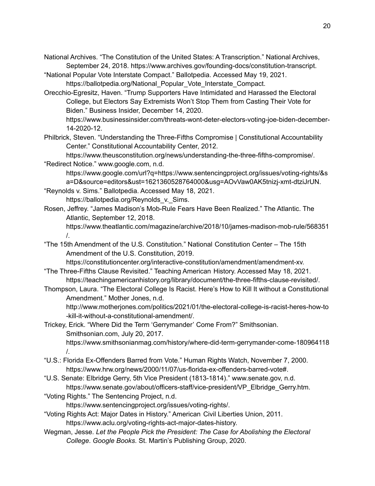- National Archives. "The Constitution of the United States: A Transcription." National Archives, September 24, 2018. https://www.archives.gov/founding-docs/constitution-transcript.
- "National Popular Vote Interstate Compact." Ballotpedia. Accessed May 19, 2021. https://ballotpedia.org/National\_Popular\_Vote\_Interstate\_Compact.
- Orecchio-Egresitz, Haven. "Trump Supporters Have Intimidated and Harassed the Electoral College, but Electors Say Extremists Won't Stop Them from Casting Their Vote for Biden." Business Insider, December 14, 2020.

https://www.businessinsider.com/threats-wont-deter-electors-voting-joe-biden-december-14-2020-12.

Philbrick, Steven. "Understanding the Three-Fifths Compromise | Constitutional Accountability Center." Constitutional Accountability Center, 2012.

https://www.theusconstitution.org/news/understanding-the-three-fifths-compromise/.

- "Redirect Notice." www.google.com, n.d. https://www.google.com/url?q=https://www.sentencingproject.org/issues/voting-rights/&s a=D&source=editors&ust=1621360528764000&usg=AOvVaw0AK5tnizj-xmt-dtziJrUN.
- "Reynolds v. Sims." Ballotpedia. Accessed May 18, 2021. https://ballotpedia.org/Reynolds\_v.\_Sims.
- Rosen, Jeffrey. "James Madison's Mob-Rule Fears Have Been Realized." The Atlantic. The Atlantic, September 12, 2018.

https://www.theatlantic.com/magazine/archive/2018/10/james-madison-mob-rule/568351 /.

"The 15th Amendment of the U.S. Constitution." National Constitution Center – The 15th Amendment of the U.S. Constitution, 2019.

https://constitutioncenter.org/interactive-constitution/amendment/amendment-xv. "The Three-Fifths Clause Revisited." Teaching American History. Accessed May 18, 2021.

- https://teachingamericanhistory.org/library/document/the-three-fifths-clause-revisited/.
- Thompson, Laura. "The Electoral College Is Racist. Here's How to Kill It without a Constitutional Amendment." Mother Jones, n.d.

http://www.motherjones.com/politics/2021/01/the-electoral-college-is-racist-heres-how-to -kill-it-without-a-constitutional-amendment/.

Trickey, Erick. "Where Did the Term 'Gerrymander' Come From?" Smithsonian. Smithsonian.com, July 20, 2017.

https://www.smithsonianmag.com/history/where-did-term-gerrymander-come-180964118 /.

- "U.S.: Florida Ex-Offenders Barred from Vote." Human Rights Watch, November 7, 2000. https://www.hrw.org/news/2000/11/07/us-florida-ex-offenders-barred-vote#.
- "U.S. Senate: Elbridge Gerry, 5th Vice President (1813-1814)." www.senate.gov, n.d. https://www.senate.gov/about/officers-staff/vice-president/VP\_Elbridge\_Gerry.htm.
- "Voting Rights." The Sentencing Project, n.d.

https://www.sentencingproject.org/issues/voting-rights/.

- "Voting Rights Act: Major Dates in History." American Civil Liberties Union, 2011. https://www.aclu.org/voting-rights-act-major-dates-history.
- Wegman, Jesse. *Let the People Pick the President: The Case for Abolishing the Electoral College*. *Google Books*. St. Martin's Publishing Group, 2020.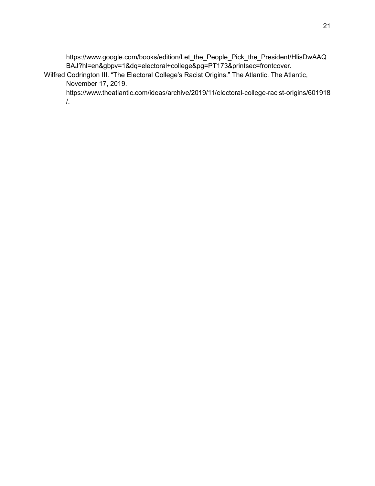https://www.google.com/books/edition/Let\_the\_People\_Pick\_the\_President/HlisDwAAQ BAJ?hl=en&gbpv=1&dq=electoral+college&pg=PT173&printsec=frontcover.

Wilfred Codrington III. "The Electoral College's Racist Origins." The Atlantic. The Atlantic, November 17, 2019.

https://www.theatlantic.com/ideas/archive/2019/11/electoral-college-racist-origins/601918 /.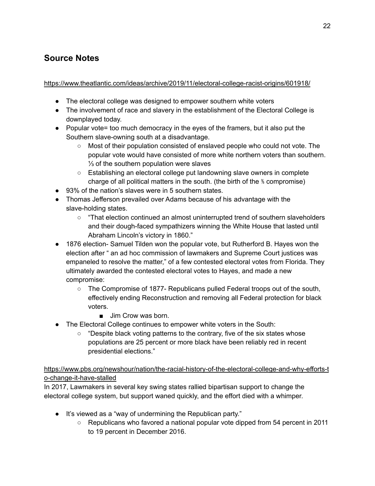# **Source Notes**

<https://www.theatlantic.com/ideas/archive/2019/11/electoral-college-racist-origins/601918/>

- The electoral college was designed to empower southern white voters
- The involvement of race and slavery in the establishment of the Electoral College is downplayed today.
- Popular vote= too much democracy in the eyes of the framers, but it also put the Southern slave-owning south at a disadvantage.
	- Most of their population consisted of enslaved people who could not vote. The popular vote would have consisted of more white northern voters than southern. ⅓ of the southern population were slaves
	- Establishing an electoral college put landowning slave owners in complete charge of all political matters in the south. (the birth of the ⅗ compromise)
- 93% of the nation's slaves were in 5 southern states.
- Thomas Jefferson prevailed over Adams because of his advantage with the slave-holding states.
	- "That election continued an almost uninterrupted trend of southern slaveholders and their dough-faced sympathizers winning the White House that lasted until Abraham Lincoln's victory in 1860."
- 1876 election- Samuel Tilden won the popular vote, but Rutherford B. Hayes won the election after " an ad hoc commission of lawmakers and Supreme Court justices was empaneled to resolve the matter," of a few contested electoral votes from Florida. They ultimately awarded the contested electoral votes to Hayes, and made a new compromise:
	- The Compromise of 1877- Republicans pulled Federal troops out of the south, effectively ending Reconstruction and removing all Federal protection for black voters.
		- Jim Crow was born.
- The Electoral College continues to empower white voters in the South:
	- $\circ$  "Despite black voting patterns to the contrary, five of the six states whose populations are 25 percent or more black have been reliably red in recent presidential elections."

[https://www.pbs.org/newshour/nation/the-racial-history-of-the-electoral-college-and-why-efforts-t](https://www.pbs.org/newshour/nation/the-racial-history-of-the-electoral-college-and-why-efforts-to-change-it-have-stalled) [o-change-it-have-stalled](https://www.pbs.org/newshour/nation/the-racial-history-of-the-electoral-college-and-why-efforts-to-change-it-have-stalled)

In 2017, Lawmakers in several key swing states rallied bipartisan support to change the electoral college system, but support waned quickly, and the effort died with a whimper.

- It's viewed as a "way of undermining the Republican party."
	- Republicans who favored a national popular vote dipped from 54 percent in 2011 to 19 percent in December 2016.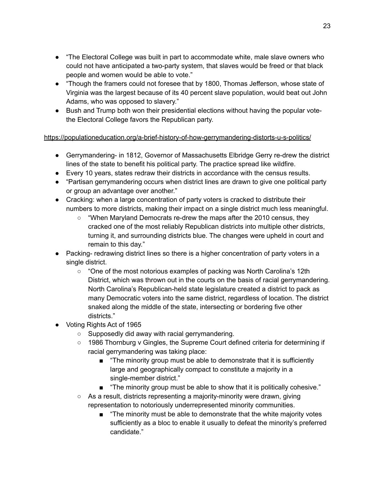- "The Electoral College was built in part to accommodate white, male slave owners who could not have anticipated a two-party system, that slaves would be freed or that black people and women would be able to vote."
- "Though the framers could not foresee that by 1800, Thomas Jefferson, whose state of Virginia was the largest because of its 40 percent slave population, would beat out John Adams, who was opposed to slavery."
- Bush and Trump both won their presidential elections without having the popular votethe Electoral College favors the Republican party.

#### <https://populationeducation.org/a-brief-history-of-how-gerrymandering-distorts-u-s-politics/>

- Gerrymandering- in 1812, Governor of Massachusetts Elbridge Gerry re-drew the district lines of the state to benefit his political party. The practice spread like wildfire.
- Every 10 years, states redraw their districts in accordance with the census results.
- "Partisan gerrymandering occurs when district lines are drawn to give one political party or group an advantage over another."
- Cracking: when a large concentration of party voters is cracked to distribute their numbers to more districts, making their impact on a single district much less meaningful.
	- $\circ$  "When Maryland Democrats re-drew the maps after the 2010 census, they cracked one of the most reliably Republican districts into multiple other districts, turning it, and surrounding districts blue. The changes were upheld in court and remain to this day."
- Packing- redrawing district lines so there is a higher concentration of party voters in a single district.
	- "One of the most notorious examples of packing was North Carolina's 12th District, which was thrown out in the courts on the basis of racial gerrymandering. North Carolina's Republican-held state legislature created a district to pack as many Democratic voters into the same district, regardless of location. The district snaked along the middle of the state, intersecting or bordering five other districts."
- Voting Rights Act of 1965
	- Supposedly did away with racial gerrymandering.
	- 1986 Thornburg v Gingles, the Supreme Court defined criteria for determining if racial gerrymandering was taking place:
		- "The minority group must be able to demonstrate that it is sufficiently large and geographically compact to constitute a majority in a single-member district."
		- "The minority group must be able to show that it is politically cohesive."
	- As a result, districts representing a majority-minority were drawn, giving representation to notoriously underrepresented minority communities.
		- "The minority must be able to demonstrate that the white majority votes sufficiently as a bloc to enable it usually to defeat the minority's preferred candidate."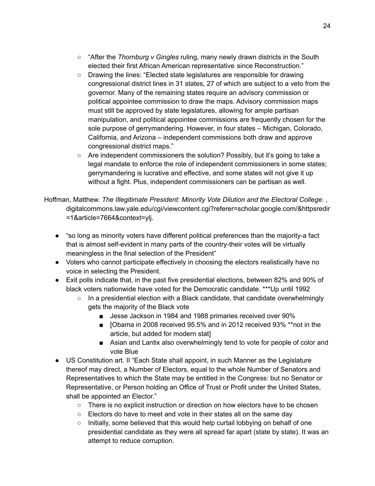- "After the *Thornburg v Gingles* ruling, many newly drawn [districts](https://fivethirtyeight.com/features/is-gerrymandering-the-best-way-to-make-sure-black-voters-are-represented/) in the South elected their first African American [representative](https://fivethirtyeight.com/features/is-gerrymandering-the-best-way-to-make-sure-black-voters-are-represented/) since Reconstruction."
- Drawing the lines: "Elected state legislatures are responsible for drawing congressional district lines in 31 states, 27 of which are subject to a veto from the governor. Many of the remaining states require an advisory commission or political appointee commission to draw the maps. Advisory commission maps must still be approved by state legislatures, allowing for ample partisan manipulation, and political appointee commissions are frequently chosen for the sole purpose of gerrymandering. However, in four states – Michigan, Colorado, California, and Arizona – independent commissions both draw and approve congressional district maps."
- Are independent commissioners the solution? Possibly, but it's going to take a legal mandate to enforce the role of independent commissioners in some states; gerrymandering is lucrative and effective, and some states will not give it up without a fight. Plus, independent commissioners can be partisan as well.

#### Hoffman, Matthew. *The Illegitimate President: Minority Vote Dilution and the Electoral College*. , digitalcommons.law.yale.edu/cgi/viewcontent.cgi?referer=scholar.google.com/&httpsredir =1&article=7664&context=ylj.

- "so long as minority voters have different political preferences than the majority-a fact that is almost self-evident in many parts of the country-their votes will be virtually meaningless in the final selection of the President"
- Voters who cannot participate effectively in choosing the electors realistically have no voice in selecting the President.
- Exit polls indicate that, in the past five presidential elections, between 82% and 90% of black voters nationwide have voted for the Democratic candidate. \*\*\*Up until 1992
	- $\circ$  In a presidential election with a Black candidate, that candidate overwhelmingly gets the majority of the Black vote
		- Jesse Jackson in 1984 and 1988 primaries received over 90%
		- [Obama in 2008 received 95.5% and in 2012 received 93% \*\* not in the article, but added for modern stat]
		- Asian and Lantix also overwhelmingly tend to vote for people of color and vote Blue
- US Constitution art. II "Each State shall appoint, in such Manner as the Legislature thereof may direct, a Number of Electors, equal to the whole Number of Senators and Representatives to which the State may be entitled in the Congress: but no Senator or Representative, or Person holding an Office of Trust or Profit under the United States, shall be appointed an Elector."
	- There is no explicit instruction or direction on how electors have to be chosen
	- $\circ$  Electors do have to meet and vote in their states all on the same day
	- $\circ$  Initially, some believed that this would help curtail lobbying on behalf of one presidential candidate as they were all spread far apart (state by state). It was an attempt to reduce corruption.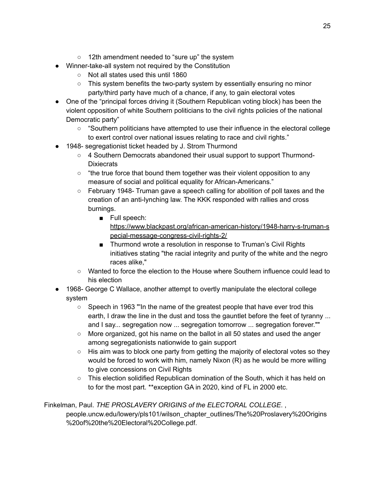- 12th amendment needed to "sure up" the system
- Winner-take-all system not required by the Constitution
	- Not all states used this until 1860
	- This system benefits the two-party system by essentially ensuring no minor party/third party have much of a chance, if any, to gain electoral votes
- One of the "principal forces driving it (Southern Republican voting block) has been the violent opposition of white Southern politicians to the civil rights policies of the national Democratic party"
	- "Southern politicians have attempted to use their influence in the electoral college to exert control over national issues relating to race and civil rights."
- 1948- segregationist ticket headed by J. Strom Thurmond
	- 4 Southern Democrats abandoned their usual support to support Thurmond-**Dixiecrats**
	- $\circ$  "the true force that bound them together was their violent opposition to any measure of social and political equality for African-Americans."
	- $\circ$  February 1948- Truman gave a speech calling for abolition of poll taxes and the creation of an anti-lynching law. The KKK responded with rallies and cross burnings.
		- Full speech:
			- [https://www.blackpast.org/african-american-history/1948-harry-s-truman-s](https://www.blackpast.org/african-american-history/1948-harry-s-truman-special-message-congress-civil-rights-2/) [pecial-message-congress-civil-rights-2/](https://www.blackpast.org/african-american-history/1948-harry-s-truman-special-message-congress-civil-rights-2/)
		- Thurmond wrote a resolution in response to Truman's Civil Rights initiatives stating "the racial integrity and purity of the white and the negro races alike,"
	- Wanted to force the election to the House where Southern influence could lead to his election
- 1968- George C Wallace, another attempt to overtly manipulate the electoral college system
	- Speech in 1963 "'In the name of the greatest people that have ever trod this earth, I draw the line in the dust and toss the gauntlet before the feet of tyranny ... and I say... segregation now ... segregation tomorrow ... segregation forever.""
	- More organized, got his name on the ballot in all 50 states and used the anger among segregationists nationwide to gain support
	- $\circ$  His aim was to block one party from getting the majority of electoral votes so they would be forced to work with him, namely Nixon (R) as he would be more willing to give concessions on Civil Rights
	- This election solidified Republican domination of the South, which it has held on to for the most part. \*\*exception GA in 2020, kind of FL in 2000 etc.

Finkelman, Paul. *THE PROSLAVERY ORIGINS of the ELECTORAL COLLEGE*. ,

people.uncw.edu/lowery/pls101/wilson\_chapter\_outlines/The%20Proslavery%20Origins %20of%20the%20Electoral%20College.pdf.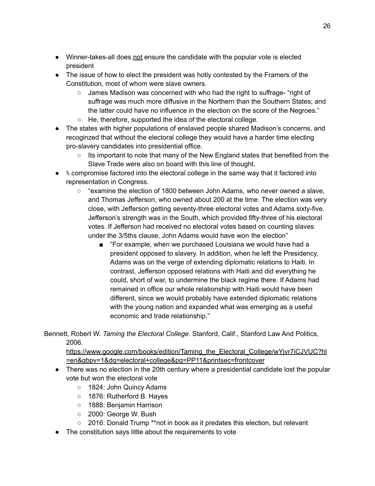- Winner-takes-all does not ensure the candidate with the popular vote is elected president
- The issue of how to elect the president was hotly contested by the Framers of the Constitution, most of whom were slave owners.
	- James Madison was concerned with who had the right to suffrage- "right of suffrage was much more diffusive in the Northern than the Southern States; and the latter could have no influence in the election on the score of the Negroes."
	- He, therefore, supported the idea of the electoral college.
- The states with higher populations of enslaved people shared Madison's concerns, and recoginzed that without the electoral college they would have a harder time electing pro-slavery candidates into presidential office.
	- Its important to note that many of the New England states that benefited from the Slave Trade were also on board with this line of thought.
- $\bullet$  % compromise factored into the electoral college in the same way that it factored into representation in Congress.
	- $\circ$  "examine the election of 1800 between John Adams, who never owned a slave, and Thomas Jefferson, who owned about 200 at the time. The election was very close, with Jefferson getting seventy-three electoral votes and Adams sixty-five. Jefferson's strength was in the South, which provided fifty-three of his electoral votes. If Jefferson had received no electoral votes based on counting slaves under the 3/5ths clause, John Adams would have won the election"
		- "For example, when we purchased Louisiana we would have had a president opposed to slavery. In addition, when he left the Presidency, Adams was on the verge of extending diplomatic relations to Haiti. In contrast, Jefferson opposed relations with Haiti and did everything he could, short of war, to undermine the black regime there. If Adams had remained in office our whole relationship with Haiti would have been different, since we would probably have extended diplomatic relations with the young nation and expanded what was emerging as a useful economic and trade relationship."

Bennett, Robert W. *Taming the Electoral College*. Stanford, Calif., Stanford Law And Politics, 2006.

[https://www.google.com/books/edition/Taming\\_the\\_Electoral\\_College/wYjvr7iCJVUC?hl](https://www.google.com/books/edition/Taming_the_Electoral_College/wYjvr7iCJVUC?hl=en&gbpv=1&dq=electoral+college&pg=PP11&printsec=frontcover) [=en&gbpv=1&dq=electoral+college&pg=PP11&printsec=frontcover](https://www.google.com/books/edition/Taming_the_Electoral_College/wYjvr7iCJVUC?hl=en&gbpv=1&dq=electoral+college&pg=PP11&printsec=frontcover)

- There was no election in the 20th century where a presidential candidate lost the popular vote but won the electoral vote
	- 1824: John Quincy Adams
	- 1876: Rutherford B. Hayes
	- 1888: Benjamin Harrison
	- 2000: George W. Bush
	- 2016: Donald Trump \*\*not in book as it predates this election, but relevant
- The constitution says little about the requirements to vote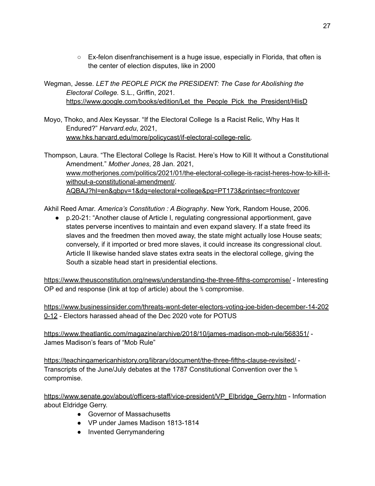- Ex-felon disenfranchisement is a huge issue, especially in Florida, that often is the center of election disputes, like in 2000
- Wegman, Jesse. *LET the PEOPLE PICK the PRESIDENT: The Case for Abolishing the Electoral College.* S.L., Griffin, 2021. [https://www.google.com/books/edition/Let\\_the\\_People\\_Pick\\_the\\_President/HlisD](https://www.google.com/books/edition/Let_the_People_Pick_the_President/HlisDwAAQBAJ?hl=en&gbpv=1&dq=electoral+college&pg=PT173&printsec=frontcover)
- Moyo, Thoko, and Alex Keyssar. "If the Electoral College Is a Racist Relic, Why Has It Endured?" *Harvard.edu*, 2021, [www.hks.harvard.edu/more/policycast/if-electoral-college-relic.](http://www.hks.harvard.edu/more/policycast/if-electoral-college-relic)
- Thompson, Laura. "The Electoral College Is Racist. Here's How to Kill It without a Constitutional Amendment." *Mother Jones*, 28 Jan. 2021, [www.motherjones.com/politics/2021/01/the-electoral-college-is-racist-heres-how-to-kill-it](http://www.motherjones.com/politics/2021/01/the-electoral-college-is-racist-heres-how-to-kill-it-without-a-constitutional-amendment/)[without-a-constitutional-amendment/](http://www.motherjones.com/politics/2021/01/the-electoral-college-is-racist-heres-how-to-kill-it-without-a-constitutional-amendment/). [AQBAJ?hl=en&gbpv=1&dq=electoral+college&pg=PT173&printsec=frontcover](https://www.google.com/books/edition/Let_the_People_Pick_the_President/HlisDwAAQBAJ?hl=en&gbpv=1&dq=electoral+college&pg=PT173&printsec=frontcover)

Akhil Reed Amar. *America's Constitution : A Biography*. New York, Random House, 2006.

● p.20-21: "Another clause of Article I, regulating congressional apportionment, gave states perverse incentives to maintain and even expand slavery. If a state freed its slaves and the freedmen then moved away, the state might actually lose House seats; conversely, if it imported or bred more slaves, it could increase its congressional clout. Article II likewise handed slave states extra seats in the electoral college, giving the South a sizable head start in presidential elections.

<https://www.theusconstitution.org/news/understanding-the-three-fifths-compromise/> - Interesting OP ed and response (link at top of article) about the ⅗ compromise.

[https://www.businessinsider.com/threats-wont-deter-electors-voting-joe-biden-december-14-202](https://www.businessinsider.com/threats-wont-deter-electors-voting-joe-biden-december-14-2020-12) [0-12](https://www.businessinsider.com/threats-wont-deter-electors-voting-joe-biden-december-14-2020-12) - Electors harassed ahead of the Dec 2020 vote for POTUS

<https://www.theatlantic.com/magazine/archive/2018/10/james-madison-mob-rule/568351/> - James Madison's fears of "Mob Rule"

<https://teachingamericanhistory.org/library/document/the-three-fifths-clause-revisited/> - Transcripts of the June/July debates at the 1787 Constitutional Convention over the ⅗ compromise.

[https://www.senate.gov/about/officers-staff/vice-president/VP\\_Elbridge\\_Gerry.htm](https://www.senate.gov/about/officers-staff/vice-president/VP_Elbridge_Gerry.htm) - Information about Eldridge Gerry.

- Governor of Massachusetts
- VP under James Madison 1813-1814
- Invented Gerrymandering